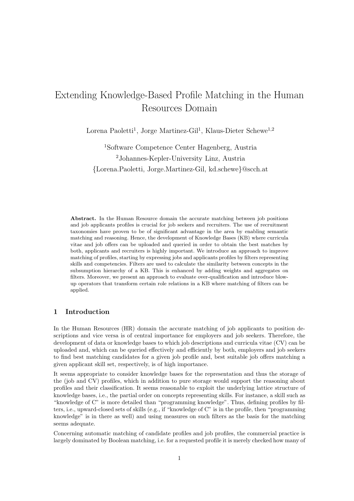# Extending Knowledge-Based Profile Matching in the Human Resources Domain

Lorena Paoletti<sup>1</sup>, Jorge Martinez-Gil<sup>1</sup>, Klaus-Dieter Schewe<sup>1,2</sup>

<sup>1</sup>Software Competence Center Hagenberg, Austria <sup>2</sup>Johannes-Kepler-University Linz, Austria {Lorena.Paoletti, Jorge.Martinez-Gil, kd.schewe}@scch.at

Abstract. In the Human Resource domain the accurate matching between job positions and job applicants profiles is crucial for job seekers and recruiters. The use of recruitment taxonomies have proven to be of significant advantage in the area by enabling semantic matching and reasoning. Hence, the development of Knowledge Bases (KB) where curricula vitae and job offers can be uploaded and queried in order to obtain the best matches by both, applicants and recruiters is highly important. We introduce an approach to improve matching of profiles, starting by expressing jobs and applicants profiles by filters representing skills and competencies. Filters are used to calculate the similarity between concepts in the subsumption hierarchy of a KB. This is enhanced by adding weights and aggregates on filters. Moreover, we present an approach to evaluate over-qualification and introduce blowup operators that transform certain role relations in a KB where matching of filters can be applied.

## 1 Introduction

In the Human Resources (HR) domain the accurate matching of job applicants to position descriptions and vice versa is of central importance for employers and job seekers. Therefore, the development of data or knowledge bases to which job descriptions and curricula vitae (CV) can be uploaded and, which can be queried effectively and efficiently by both, employers and job seekers to find best matching candidates for a given job profile and, best suitable job offers matching a given applicant skill set, respectively, is of high importance.

It seems appropriate to consider knowledge bases for the representation and thus the storage of the (job and CV) profiles, which in addition to pure storage would support the reasoning about profiles and their classification. It seems reasonable to exploit the underlying lattice structure of knowledge bases, i.e., the partial order on concepts representing skills. For instance, a skill such as "knowledge of C" is more detailed than "programming knowledge". Thus, defining profiles by filters, i.e., upward-closed sets of skills (e.g., if "knowledge of C" is in the profile, then "programming knowledge" is in there as well) and using measures on such filters as the basis for the matching seems adequate.

Concerning automatic matching of candidate profiles and job profiles, the commercial practice is largely dominated by Boolean matching, i.e. for a requested profile it is merely checked how many of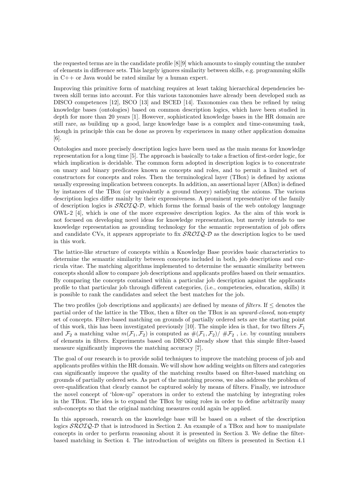the requested terms are in the candidate profile [8][9] which amounts to simply counting the number of elements in difference sets. This largely ignores similarity between skills, e.g. programming skills in C++ or Java would be rated similar by a human expert.

Improving this primitive form of matching requires at least taking hierarchical dependencies between skill terms into account. For this various taxonomies have already been developed such as DISCO competences [12], ISCO [13] and ISCED [14]. Taxonomies can then be refined by using knowledge bases (ontologies) based on common description logics, which have been studied in depth for more than 20 years [1]. However, sophisticated knowledge bases in the HR domain are still rare, as building up a good, large knowledge base is a complex and time-consuming task, though in principle this can be done as proven by experiences in many other application domains [6].

Ontologies and more precisely description logics have been used as the main means for knowledge representation for a long time [5]. The approach is basically to take a fraction of first-order logic, for which implication is decidable. The common form adopted in description logics is to concentrate on unary and binary predicates known as concepts and roles, and to permit a limited set of constructors for concepts and roles. Then the terminological layer (TBox) is defined by axioms usually expressing implication between concepts. In addition, an assertional layer (ABox) is defined by instances of the TBox (or equivalently a ground theory) satisfying the axioms. The various description logics differ mainly by their expressiveness. A prominent representative of the family of description logics is  $\mathcal{SROIO}\text{-}D$ , which forms the formal basis of the web ontology language OWL-2 [4], which is one of the more expressive description logics. As the aim of this work is not focused on developing novel ideas for knowledge representation, but merely intends to use knowledge representation as grounding technology for the semantic representation of job offers and candidate CVs, it appears appropriate to fix  $\mathcal{SROLQ}\text{-}\mathcal{D}$  as the description logics to be used in this work.

The lattice-like structure of concepts within a Knowledge Base provides basic characteristics to determine the semantic similarity between concepts included in both, job descriptions and curricula vitae. The matching algorithms implemented to determine the semantic similarity between concepts should allow to compare job descriptions and applicants profiles based on their semantics. By comparing the concepts contained within a particular job description against the applicants profile to that particular job through different categories, (i.e., competencies, education, skills) it is possible to rank the candidates and select the best matches for the job.

The two profiles (job descriptions and applicants) are defined by means of *filters*. If  $\leq$  denotes the partial order of the lattice in the TBox, then a filter on the TBox is an upward-closed, non-empty set of concepts. Filter-based matching on grounds of partially ordered sets are the starting point of this work, this has been investigated previously [10]. The simple idea is that, for two filters  $\mathcal{F}_1$ and  $\mathcal{F}_2$  a matching value  $m(\mathcal{F}_1, \mathcal{F}_2)$  is computed as  $\#(\mathcal{F}_1, \mathcal{F}_2)/\# \mathcal{F}_2$ , i.e. by counting numbers of elements in filters. Experiments based on DISCO already show that this simple filter-based measure significantly improves the matching accuracy [7].

The goal of our research is to provide solid techniques to improve the matching process of job and applicants profiles within the HR domain. We will show how adding weights on filters and categories can significantly improve the quality of the matching results based on filter-based matching on grounds of partially ordered sets. As part of the matching process, we also address the problem of over-qualification that clearly cannot be captured solely by means of filters. Finally, we introduce the novel concept of 'blow-up" operators in order to extend the matching by integrating roles in the TBox. The idea is to expand the TBox by using roles in order to define arbitrarily many sub-concepts so that the original matching measures could again be applied.

In this approach, research on the knowledge base will be based on a subset of the description logics  $\mathcal{SROLQ}\text{-}\mathcal{D}$  that is introduced in Section 2. An example of a TBox and how to manipulate concepts in order to perform reasoning about it is presented in Section 3. We define the filterbased matching in Section 4. The introduction of weights on filters is presented in Section 4.1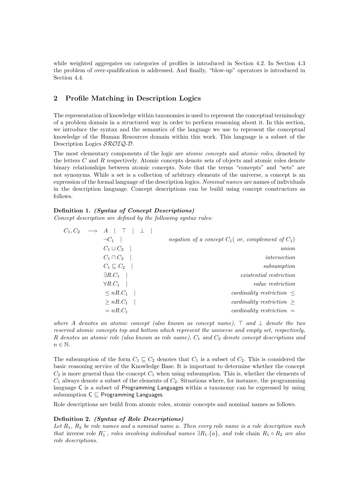while weighted aggregates on categories of profiles is introduced in Section 4.2. In Section 4.3 the problem of over-qualification is addressed. And finally, "blow-up" operators is introduced in Section 4.4.

# 2 Profile Matching in Description Logics

The representation of knowledge within taxonomies is used to represent the conceptual terminology of a problem domain in a structured way in order to perform reasoning about it. In this section, we introduce the syntax and the semantics of the language we use to represent the conceptual knowledge of the Human Resources domain within this work. This language is a subset of the Description Logics  $\mathcal{SROIQ}\text{-}\mathcal{D}$ .

The most elementary components of the logic are atomic concepts and atomic roles, denoted by the letters C and R respectively. Atomic concepts denote sets of objects and atomic roles denote binary relationships between atomic concepts. Note that the terms "concepts" and "sets" are not synonyms. While a set is a collection of arbitrary elements of the universe, a concept is an expression of the formal language of the description logics. Nominal names are names of individuals in the description language. Concept descriptions can be build using concept constructors as follows.

## Definition 1. (Syntax of Concept Descriptions)

Concept description are defined by the following syntax rules:

|                                                       | $\longrightarrow$ A   T<br>$C_1, C_2$ |
|-------------------------------------------------------|---------------------------------------|
| negation of a concept $C_1$ or, complement of $C_1$ ) | $\neg C_1$                            |
| union                                                 | $C_1 \sqcup C_2$                      |
| intersection                                          | $C_1 \sqcap C_2$                      |
| subsumption                                           | $C_1 \sqsubseteq C_2$                 |
| existential restriction                               | $\exists R.C_1$                       |
| <i>value restriction</i>                              | $\forall R.C_1$                       |
| cardinality restriction $\leq$                        | $\leq nR.C_1$                         |
| cardinality restriction $\geq$                        | $> nR.C_1$                            |
| cardinality restriction $=$                           | $= nR.C_1$                            |

where A denotes an atomic concept (also known as concept name),  $\top$  and  $\bot$  denote the two reserved atomic concepts top and bottom which represent the universe and empty set, respectively, R denotes an atomic role (also known as role name),  $C_1$  and  $C_2$  denote concept descriptions and  $n \in \mathbb{N}$ .

The subsumption of the form  $C_1 \subseteq C_2$  denotes that  $C_1$  is a subset of  $C_2$ . This is considered the basic reasoning service of the Knowledge Base. It is important to determine whether the concept  $C_2$  is more general than the concept  $C_1$  when using subsumption. This is, whether the elements of  $C_1$  always denote a subset of the elements of  $C_2$ . Situations where, for instance, the programming language C is a subset of Programming Languages within a taxonomy can be expressed by using subsumption  $C \nightharpoonup$  Programming Languages.

Role descriptions are build from atomic roles, atomic concepts and nominal names as follows.

## Definition 2. (Syntax of Role Descriptions)

Let  $R_1, R_2$  be role names and a nominal name a. Then every role name is a role description such that inverse role  $R_1^-$ , roles involving individual names  $\exists R_1.\{a\}$ , and role chain  $R_1 \circ R_2$  are also role descriptions.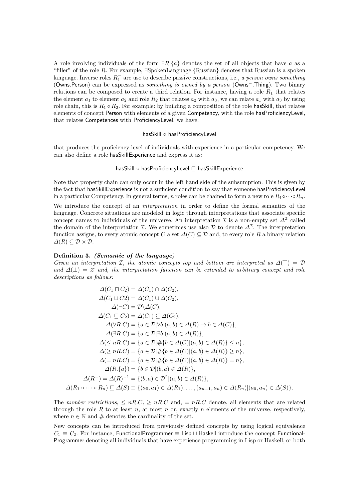A role involving individuals of the form  $\exists R.\{a\}$  denotes the set of all objects that have a as a "filler" of the role R. For example, ∃SpokenLanguage.{Russian} denotes that Russian is a spoken language. Inverse roles  $R_1^-$  are use to describe passive constructions, i.e., a person owns something (Owns.Person) can be expressed as something is owned by a person (Owns−.Thing). Two binary relations can be composed to create a third relation. For instance, having a role  $R_1$  that relates the element  $a_1$  to element  $a_2$  and role  $R_2$  that relates  $a_2$  with  $a_3$ , we can relate  $a_1$  with  $a_3$  by using role chain, this is  $R_1 \circ R_2$ . For example: by building a composition of the role has Skill, that relates elements of concept Person with elements of a given Competency, with the role hasProficiencyLevel, that relates Competences with ProficiencyLevel, we have:

## hasSkill ◦ hasProficiencyLevel

that produces the proficiency level of individuals with experience in a particular competency. We can also define a role hasSkillExperience and express it as:

### hasSkill ◦ hasProficiencyLevel ⊑ hasSkillExperience

Note that property chain can only occur in the left hand side of the subsumption. This is given by the fact that hasSkillExperience is not a sufficient condition to say that someone hasProficiencyLevel in a particular Competency. In general terms, n roles can be chained to form a new role  $R_1 \circ \cdots \circ R_n$ .

We introduce the concept of an interpretation in order to define the formal semantics of the language. Concrete situations are modeled in logic through interpretations that associate specific concept names to individuals of the universe. An interpretation  $\mathcal I$  is a non-empty set  $\Delta^{\mathcal I}$  called the domain of the interpretation  $\mathcal I$ . We sometimes use also  $\mathcal D$  to denote  $\Delta^{\mathcal I}$ . The interpretation function assigns, to every atomic concept C a set  $\Delta(C) \subseteq \mathcal{D}$  and, to every role R a binary relation  $\Delta(R) \subseteq \mathcal{D} \times \mathcal{D}$ .

## Definition 3. (Semantic of the language)

Given an interpretation I, the atomic concepts top and bottom are interpreted as  $\Delta(\top) = \mathcal{D}$ and  $\Delta(\perp) = \emptyset$  and, the interpretation function can be extended to arbitrary concept and role descriptions as follows:

$$
\Delta(C_1 \sqcap C_2) = \Delta(C_1) \cap \Delta(C_2),
$$
  
\n
$$
\Delta(C_1 \sqcup C_2) = \Delta(C_1) \cup \Delta(C_2),
$$
  
\n
$$
\Delta(\neg C) = \mathcal{D} \backslash \Delta(C),
$$
  
\n
$$
\Delta(C_1 \sqsubseteq C_2) = \Delta(C_1) \subseteq \Delta(C_2),
$$
  
\n
$$
\Delta(\forall R.C) = \{a \in \mathcal{D} | \forall b.(a, b) \in \Delta(R) \rightarrow b \in \Delta(C) \},
$$
  
\n
$$
\Delta(\exists R.C) = \{a \in \mathcal{D} | \exists b.(a, b) \in \Delta(R) \},
$$
  
\n
$$
\Delta(\leq nR.C) = \{a \in \mathcal{D} | \#\{b \in \Delta(C) | (a, b) \in \Delta(R)\} \leq n \},
$$
  
\n
$$
\Delta(\geq nR.C) = \{a \in \mathcal{D} | \#\{b \in \Delta(C) | (a, b) \in \Delta(R)\} \geq n \},
$$
  
\n
$$
\Delta(n, \{a\}) = \{b \in \mathcal{D} | \# \{b \in \Delta(C) | (a, b) \in \Delta(R)\} = n \},
$$
  
\n
$$
\Delta(R.\{a\}) = \{b \in \mathcal{D} | (b, a) \in \Delta(R) \},
$$
  
\n
$$
\Delta(R_1 \circ \cdots \circ R_n) \sqsubseteq \Delta(S) \equiv \{(a_0, a_1) \in \Delta(R_1), \ldots, (a_{n-1}, a_n) \in \Delta(R_n) | (a_0, a_n) \in \Delta(S) \}.
$$

The number restrictions,  $\leq nR.C$ ,  $\geq nR.C$  and,  $= nR.C$  denote, all elements that are related through the role R to at least n, at most n or, exactly n elements of the universe, respectively, where  $n \in \mathbb{N}$  and  $\#$  denotes the cardinality of the set.

New concepts can be introduced from previously defined concepts by using logical equivalence  $C_1 \equiv C_2$ . For instance, FunctionalProgrammer  $\equiv$  Lisp  $\sqcup$  Haskell introduce the concept Functional-Programmer denoting all individuals that have experience programming in Lisp or Haskell, or both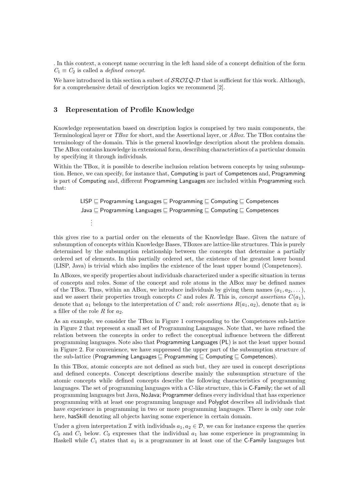. In this context, a concept name occurring in the left hand side of a concept definition of the form  $C_1 \equiv C_2$  is called a *defined concept*.

We have introduced in this section a subset of  $\mathcal{SROLQ-D}$  that is sufficient for this work. Although, for a comprehensive detail of description logics we recommend [2].

# 3 Representation of Profile Knowledge

.

Knowledge representation based on description logics is comprised by two main components, the Terminological layer or TBox for short, and the Assertional layer, or ABox. The TBox contains the terminology of the domain. This is the general knowledge description about the problem domain. The ABox contains knowledge in extensional form, describing characteristics of a particular domain by specifying it through individuals.

Within the TBox, it is possible to describe inclusion relation between concepts by using subsumption. Hence, we can specify, for instance that, Computing is part of Competences and, Programming is part of Computing and, different Programming Languages are included within Programming such that:

> LISP ⊑ Programming Languages ⊑ Programming ⊑ Computing ⊑ Competences Java ⊑ Programming Languages ⊑ Programming ⊑ Computing ⊑ Competences . .

this gives rise to a partial order on the elements of the Knowledge Base. Given the nature of subsumption of concepts within Knowledge Bases, TBoxes are lattice-like structures. This is purely determined by the subsumption relationship between the concepts that determine a partially ordered set of elements. In this partially ordered set, the existence of the greatest lower bound (LISP, Java) is trivial which also implies the existence of the least upper bound (Competences).

In ABoxes, we specify properties about individuals characterized under a specific situation in terms of concepts and roles. Some of the concept and role atoms in the ABox may be defined names of the TBox. Thus, within an ABox, we introduce individuals by giving them names  $(a_1, a_2, \ldots)$ , and we assert their properties trough concepts C and roles R. This is, *concept assertions*  $C(a_1)$ , denote that  $a_1$  belongs to the interpretation of C and; role assertions  $R(a_1, a_2)$ , denote that  $a_1$  is a filler of the role  $R$  for  $a_2$ .

As an example, we consider the TBox in Figure 1 corresponding to the Competences sub-lattice in Figure 2 that represent a small set of Programming Languages. Note that, we have refined the relation between the concepts in order to reflect the conceptual influence between the different programming languages. Note also that Programming Languages (PL) is not the least upper bound in Figure 2. For convenience, we have suppressed the upper part of the subsumption structure of the sub-lattice (Programming Languages ⊑ Programming ⊑ Computing ⊑ Competences).

In this TBox, atomic concepts are not defined as such but, they are used in concept descriptions and defined concepts. Concept descriptions describe mainly the subsumption structure of the atomic concepts while defined concepts describe the following characteristics of programming languages. The set of programming languages with a C-like structure, this is C-Family; the set of all programming languages but Java, NoJava; Programmer defines every individual that has experience programming with at least one programming language and Polyglot describes all individuals that have experience in programming in two or more programming languages. There is only one role here, hasSkill denoting all objects having some experience in certain domain.

Under a given interpretation  $\mathcal I$  with individuals  $a_1, a_2 \in \mathcal D$ , we can for instance express the queries  $C_0$  and  $C_1$  below.  $C_0$  expresses that the individual  $a_1$  has some experience in programming in Haskell while  $C_1$  states that  $a_1$  is a programmer in at least one of the C-Family languages but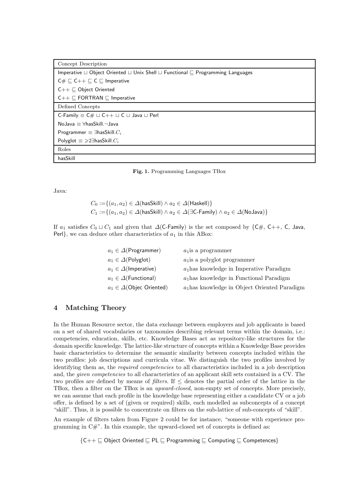| Concept Description                                                                                           |
|---------------------------------------------------------------------------------------------------------------|
| Imperative $\sqcup$ Object Oriented $\sqcup$ Unix Shell $\sqcup$ Functional $\sqsubset$ Programming Languages |
| $C\# \sqsubseteq C++ \sqsubseteq C \sqsubseteq$ Imperative                                                    |
| $C_{++} \sqsubset$ Object Oriented                                                                            |
| $C_{++} \sqsubset$ FORTRAN $\sqsubset$ Imperative                                                             |
| Defined Concepts                                                                                              |
| C-Family $\equiv$ C# $\sqcup$ C++ $\sqcup$ C $\sqcup$ Java $\sqcup$ Perl                                      |
| $N$ oJava $\equiv \forall$ has $S$ kill. $\neg$ Java                                                          |
| Programmer $\equiv \exists$ hasSkill. $C_i$                                                                   |
| Polyglot $\equiv \geq 2$ = has Skill. $C_i$                                                                   |
| Roles                                                                                                         |
| hasSkill                                                                                                      |

Fig. 1. Programming Languages TBox

Java:

$$
C_0 := \{(a_1, a_2) \in \Delta(\mathsf{hasStill}) \land a_2 \in \Delta(\mathsf{Haskill})\}
$$
  

$$
C_1 := \{(a_1, a_2) \in \Delta(\mathsf{hasStill}) \land a_2 \in \Delta(\exists \mathsf{C\text{-Family}}) \land a_2 \in \Delta(\mathsf{NoJava})\}
$$

If  $a_1$  satisfies  $C_0 \sqcup C_1$  and given that  $\Delta$ (C-Family) is the set composed by {C#, C++, C, Java, Perl}, we can deduce other characteristics of  $a_1$  in this ABox:

| $a_1 \in \Delta$ (Programmer)     | $a_1$ is a programmer                           |
|-----------------------------------|-------------------------------------------------|
| $a_1 \in \Delta(Polyglot)$        | $a_1$ is a polyglot programmer                  |
| $a_1 \in \Delta$ (Imperative)     | $a_1$ has knowledge in Imperative Paradigm      |
| $a_1 \in \Delta$ (Functional)     | $a_1$ has knowledge in Functional Paradigm      |
| $a_1 \in \Delta$ (Objec Oriented) | $a_1$ has knowledge in Object Oriented Paradigm |
|                                   |                                                 |

## 4 Matching Theory

In the Human Resource sector, the data exchange between employers and job applicants is based on a set of shared vocabularies or taxonomies describing relevant terms within the domain, i.e.: competencies, education, skills, etc. Knowledge Bases act as repository-like structures for the domain specific knowledge. The lattice-like structure of concepts within a Knowledge Base provides basic characteristics to determine the semantic similarity between concepts included within the two profiles: job descriptions and curricula vitae. We distinguish the two profiles involved by identifying them as, the required competencies to all characteristics included in a job description and, the given competencies to all characteristics of an applicant skill sets contained in a CV. The two profiles are defined by means of *filters*. If  $\leq$  denotes the partial order of the lattice in the TBox, then a filter on the TBox is an upward-closed, non-empty set of concepts. More precisely, we can assume that each profile in the knowledge base representing either a candidate CV or a job offer, is defined by a set of (given or required) skills, each modelled as subconcepts of a concept "skill". Thus, it is possible to concentrate on filters on the sub-lattice of sub-concepts of "skill".

An example of filters taken from Figure 2 could be for instance, "someone with experience programming in  $C#$ ". In this example, the upward-closed set of concepts is defined as:

{C++ ⊑ Object Oriented ⊑ PL ⊑ Programming ⊑ Computing ⊑ Competences}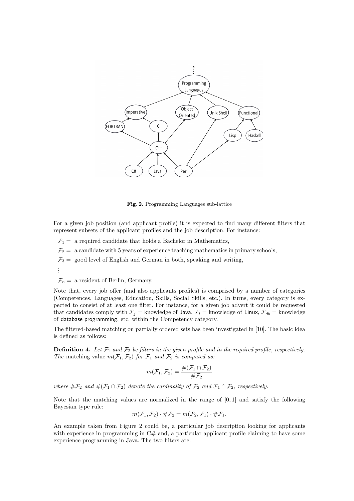

Fig. 2. Programming Languages sub-lattice

For a given job position (and applicant profile) it is expected to find many different filters that represent subsets of the applicant profiles and the job description. For instance:

- $\mathcal{F}_1 =$  a required candidate that holds a Bachelor in Mathematics,
- $\mathcal{F}_2$  = a candidate with 5 years of experience teaching mathematics in primary schools,
- $\mathcal{F}_3$  = good level of English and German in both, speaking and writing,

 $\mathcal{F}_n =$  a resident of Berlin, Germany.

. . .

Note that, every job offer (and also applicants profiles) is comprised by a number of categories (Competences, Languages, Education, Skills, Social Skills, etc.). In turns, every category is expected to consist of at least one filter. For instance, for a given job advert it could be requested that candidates comply with  $\mathcal{F}_j$  = knowledge of Java,  $\mathcal{F}_l$  = knowledge of Linux,  $\mathcal{F}_{db}$  = knowledge of database programming, etc. within the Competency category.

The filtered-based matching on partially ordered sets has been investigated in [10]. The basic idea is defined as follows:

**Definition 4.** Let  $\mathcal{F}_1$  and  $\mathcal{F}_2$  be filters in the given profile and in the required profile, respectively. The matching value  $m(\mathcal{F}_1, \mathcal{F}_2)$  for  $\mathcal{F}_1$  and  $\mathcal{F}_2$  is computed as:

$$
m(\mathcal{F}_1, \mathcal{F}_2) = \frac{\#(\mathcal{F}_1 \cap \mathcal{F}_2)}{\# \mathcal{F}_2}
$$

where  $\# \mathcal{F}_2$  and  $\# (\mathcal{F}_1 \cap \mathcal{F}_2)$  denote the cardinality of  $\mathcal{F}_2$  and  $\mathcal{F}_1 \cap \mathcal{F}_2$ , respectively.

Note that the matching values are normalized in the range of  $[0,1]$  and satisfy the following Bayesian type rule:

$$
m(\mathcal{F}_1, \mathcal{F}_2) \cdot \#\mathcal{F}_2 = m(\mathcal{F}_2, \mathcal{F}_1) \cdot \#\mathcal{F}_1.
$$

An example taken from Figure 2 could be, a particular job description looking for applicants with experience in programming in  $C#$  and, a particular applicant profile claiming to have some experience programming in Java. The two filters are: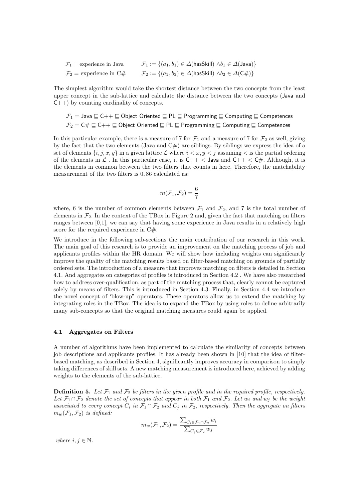$\mathcal{F}_1$  = experience in Java  $\mathcal{F}_1 := \{(a_1, b_1) \in \Delta(\mathsf{hasStill}) \land b_1 \in \Delta(\mathsf{Java})\}$  $\mathcal{F}_2$  = experience in C#  $\mathcal{F}_2 := \{(a_2, b_2) \in \Delta(\mathsf{hasStill}) \land b_2 \in \Delta(\mathsf{C} \#)\}\$ 

The simplest algorithm would take the shortest distance between the two concepts from the least upper concept in the sub-lattice and calculate the distance between the two concepts (Java and  $C_{++}$ ) by counting cardinality of concepts.

$$
\mathcal{F}_1 = \textsf{Java} \sqsubseteq \textsf{C++} \sqsubseteq \textsf{Object Oriented} \sqsubseteq \textsf{PL} \sqsubseteq \textsf{Programming} \sqsubseteq \textsf{Computing} \sqsubseteq \textsf{Competences}
$$
\n
$$
\mathcal{F}_2 = \textsf{C#} \sqsubseteq \textsf{C++} \sqsubseteq \textsf{Object Oriented} \sqsubseteq \textsf{PL} \sqsubseteq \textsf{Programming} \sqsubseteq \textsf{Computing} \sqsubseteq \textsf{Competences}
$$

In this particular example, there is a measure of 7 for  $\mathcal{F}_1$  and a measure of 7 for  $\mathcal{F}_2$  as well, giving by the fact that the two elements (Java and C#) are siblings. By siblings we express the idea of a set of elements  $\{i, j, x, y\}$  in a given lattice  $\mathcal L$  where  $i < x, y < j$  assuming  $\lt$  is the partial ordering of the elements in L. In this particular case, it is  $C++$   $\lt$  Java and  $C++$   $\lt C\#$ . Although, it is the elements in common between the two filters that counts in here. Therefore, the matchability measurement of the two filters is 0, 86 calculated as:

$$
m(\mathcal{F}_1, \mathcal{F}_2) = \frac{6}{7}
$$

where, 6 is the number of common elements between  $\mathcal{F}_1$  and  $\mathcal{F}_2$ , and 7 is the total number of elements in  $\mathcal{F}_2$ . In the context of the TBox in Figure 2 and, given the fact that matching on filters ranges between [0,1], we can say that having some experience in Java results in a relatively high score for the required experience in C#.

We introduce in the following sub-sections the main contribution of our research in this work. The main goal of this research is to provide an improvement on the matching process of job and applicants profiles within the HR domain. We will show how including weights can significantly improve the quality of the matching results based on filter-based matching on grounds of partially ordered sets. The introduction of a measure that improves matching on filters is detailed in Section 4.1. And aggregates on categories of profiles is introduced in Section 4.2 . We have also researched how to address over-qualification, as part of the matching process that, clearly cannot be captured solely by means of filters. This is introduced in Section 4.3. Finally, in Section 4.4 we introduce the novel concept of 'blow-up" operators. These operators allow us to extend the matching by integrating roles in the TBox. The idea is to expand the TBox by using roles to define arbitrarily many sub-concepts so that the original matching measures could again be applied.

## 4.1 Aggregates on Filters

A number of algorithms have been implemented to calculate the similarity of concepts between job descriptions and applicants profiles. It has already been shown in [10] that the idea of filterbased matching, as described in Section 4, significantly improves accuracy in comparison to simply taking differences of skill sets. A new matching measurement is introduced here, achieved by adding weights to the elements of the sub-lattice.

**Definition 5.** Let  $\mathcal{F}_1$  and  $\mathcal{F}_2$  be filters in the given profile and in the required profile, respectively. Let  $\mathcal{F}_1 \cap \mathcal{F}_2$  denote the set of concepts that appear in both  $\mathcal{F}_1$  and  $\mathcal{F}_2$ . Let  $w_i$  and  $w_j$  be the weight associated to every concept  $C_i$  in  $\mathcal{F}_1 \cap \mathcal{F}_2$  and  $C_j$  in  $\mathcal{F}_2$ , respectively. Then the aggregate on filters  $m_w(\mathcal{F}_1, \mathcal{F}_2)$  is defined:

$$
m_w(\mathcal{F}_1, \mathcal{F}_2) = \frac{\sum_{C_i \in \mathcal{F}_1 \cap \mathcal{F}_2} w_i}{\sum_{C_j \in \mathcal{F}_2} w_j}
$$

where  $i, j \in \mathbb{N}$ .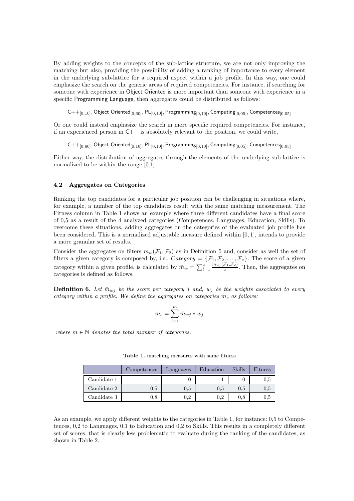By adding weights to the concepts of the sub-lattice structure, we are not only improving the matching but also, providing the possibility of adding a ranking of importance to every element in the underlying sub-lattice for a required aspect within a job profile. In this way, one could emphasize the search on the generic areas of required competencies. For instance, if searching for someone with experience in Object Oriented is more important than someone with experience in a specific Programming Language, then aggregates could be distributed as follows:

 $C++_{[0,10]},$  Object Oriented $_{[0,60]},$  PL $_{[0,10]},$  Programming $_{[0,10]},$  Computing $_{[0,05]},$  Competences $_{[0,05]}$ 

Or one could instead emphasize the search in more specific required competencies. For instance, if an experienced person in  $C_{++}$  is absolutely relevant to the position, we could write,

 $C++_{[0,60]},$  Object Oriented<sub>[0,10]</sub>, PL<sub>[0,10]</sub>, Programming<sub>[0,10]</sub>, Computing<sub>[0,05]</sub>, Competences<sub>[0,05]</sub>

Either way, the distribution of aggregates through the elements of the underlying sub-lattice is normalized to be within the range [0,1].

## 4.2 Aggregates on Categories

Ranking the top candidates for a particular job position can be challenging in situations where, for example, a number of the top candidates result with the same matching measurement. The Fitness column in Table 1 shows an example where three different candidates have a final score of 0,5 as a result of the 4 analyzed categories (Competences, Languages, Education, Skills). To overcome these situations, adding aggregates on the categories of the evaluated job profile has been considered. This is a normalized adjustable measure defined within [0, 1], intends to provide a more granular set of results.

Consider the aggregates on filters  $m_w(\mathcal{F}_1, \mathcal{F}_2)$  as in Definition 5 and, consider as well the set of filters a given category is composed by, i.e.,  $Category = \{\mathcal{F}_1, \mathcal{F}_2, \ldots, \mathcal{F}_x\}$ . The score of a given category within a given profile, is calculated by  $\bar{m}_w = \sum_{l=1}^x \frac{m_{w_l}(\mathcal{F}_1, \mathcal{F}_2)}{x}$  $\frac{x}{x}$ . Then, the aggregates on categories is defined as follows.

**Definition 6.** Let  $\bar{m}_{wj}$  be the score per category j and,  $w_j$  be the weights associated to every category within a profile. We define the aggregates on categories  $m_c$  as follows:

$$
m_c = \sum_{j=1}^m \bar{m}_{wj} * w_j
$$

where  $m \in \mathbb{N}$  denotes the total number of categories.

|             | Competences | Languages    | Education | <b>Skills</b> | Fitness  |
|-------------|-------------|--------------|-----------|---------------|----------|
| Candidate 1 |             |              |           |               | 0.5      |
| Candidate 2 | 0.5         | 0.5          | 0,5       | 0.5           | 0,5      |
| Candidate 3 | 0.8         | $_{\rm 0.2}$ | 0.2       | $_{0.8}$      | $_{0,5}$ |

Table 1. matching measures with same fitness

As an example, we apply different weights to the categories in Table 1, for instance: 0,5 to Competences, 0,2 to Languages, 0,1 to Education and 0,2 to Skills. This results in a completely different set of scores, that is clearly less problematic to evaluate during the ranking of the candidates, as shown in Table 2.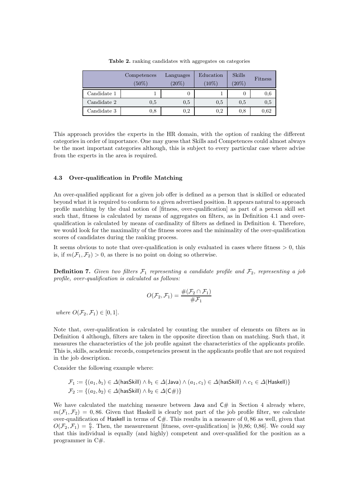|             | Competences<br>$(50\%)$ | Languages<br>$(20\%)$ | Education<br>$^{\prime}10\%)$ | <b>Skills</b><br>$(20\%)$ | Fitness |
|-------------|-------------------------|-----------------------|-------------------------------|---------------------------|---------|
| Candidate 1 |                         |                       |                               |                           | 0,6     |
| Candidate 2 | 0.5                     | 0.5                   | 0.5                           | 0.5                       | 0,5     |
| Candidate 3 | 0.8                     | $_{0,2}$              | 0,2                           | 0,8                       | 0.62    |

Table 2. ranking candidates with aggregates on categories

This approach provides the experts in the HR domain, with the option of ranking the different categories in order of importance. One may guess that Skills and Competences could almost always be the most important categories although, this is subject to every particular case where advise from the experts in the area is required.

## 4.3 Over-qualification in Profile Matching

An over-qualified applicant for a given job offer is defined as a person that is skilled or educated beyond what it is required to conform to a given advertised position. It appears natural to approach profile matching by the dual notion of [fitness, over-qualification] as part of a person skill set such that, fitness is calculated by means of aggregates on filters, as in Definition 4.1 and overqualification is calculated by means of cardinality of filters as defined in Definition 4. Therefore, we would look for the maximality of the fitness scores and the minimality of the over-qualification scores of candidates during the ranking process.

It seems obvious to note that over-qualification is only evaluated in cases where fitness  $> 0$ , this is, if  $m(\mathcal{F}_1, \mathcal{F}_2) > 0$ , as there is no point on doing so otherwise.

**Definition 7.** Given two filters  $\mathcal{F}_1$  representing a candidate profile and  $\mathcal{F}_2$ , representing a job profile, over-qualification is calculated as follows:

$$
O(\mathcal{F}_2, \mathcal{F}_1) = \frac{\#(\mathcal{F}_2 \cap \mathcal{F}_1)}{\# \mathcal{F}_1}
$$

where  $O(\mathcal{F}_2, \mathcal{F}_1) \in [0, 1].$ 

Note that, over-qualification is calculated by counting the number of elements on filters as in Definition 4 although, filters are taken in the opposite direction than on matching. Such that, it measures the characteristics of the job profile against the characteristics of the applicants profile. This is, skills, academic records, competencies present in the applicants profile that are not required in the job description.

Consider the following example where:

$$
\mathcal{F}_1 := \{(a_1, b_1) \in \Delta(\text{hasSkill}) \land b_1 \in \Delta(\text{Java}) \land (a_1, c_1) \in \Delta(\text{hasSkill}) \land c_1 \in \Delta(\text{Haskell})\}
$$
\n
$$
\mathcal{F}_2 := \{(a_2, b_2) \in \Delta(\text{hasSkill}) \land b_2 \in \Delta(\text{C#})\}
$$

We have calculated the matching measure between **Java** and  $C#$  in Section 4 already where,  $m(\mathcal{F}_1, \mathcal{F}_2) = 0,86$ . Given that Haskell is clearly not part of the job profile filter, we calculate over-qualification of Haskell in terms of  $C#$ . This results in a measure of 0,86 as well, given that  $O(\mathcal{F}_2, \mathcal{F}_1) = \frac{6}{7}$ . Then, the measurement [fitness, over-qualification] is [0,86; 0,86]. We could say that this individual is equally (and highly) competent and over-qualified for the position as a programmer in C#.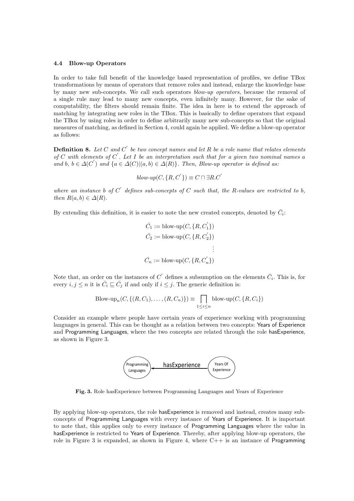### 4.4 Blow-up Operators

In order to take full benefit of the knowledge based representation of profiles, we define TBox transformations by means of operators that remove roles and instead, enlarge the knowledge base by many new sub-concepts. We call such operators blow-up operators, because the removal of a single rule may lead to many new concepts, even infinitely many. However, for the sake of computability, the filters should remain finite. The idea in here is to extend the approach of matching by integrating new roles in the TBox. This is basically to define operators that expand the TBox by using roles in order to define arbitrarily many new sub-concepts so that the original measures of matching, as defined in Section 4, could again be applied. We define a blow-up operator as follows:

**Definition 8.** Let C and C' be two concept names and let R be a role name that relates elements of C with elements of  $C'$ . Let I be an interpretation such that for a given two nominal names a and b,  $b \in \Delta(C')$  and  $\{a \in \Delta(C)|(a, b) \in \Delta(R)\}$ . Then, Blow-up operator is defined as:

$$
blow\text{-}up(C, \{R, C^{'}\}) \equiv C \sqcap \exists R.C^{'}
$$

where an instance b of  $C'$  defines sub-concepts of C such that, the R-values are restricted to b, then  $R(a, b) \in \Delta(R)$ .

By extending this definition, it is easier to note the new created concepts, denoted by  $\overline{C_i}$ :

$$
\begin{aligned} \bar{C}_1 &:= \text{blow-up}(C, \{R, C_1^{'}\}) \\ \bar{C}_2 &:= \text{blow-up}(C, \{R, C_2^{'}\}) \\ &\vdots \\ \bar{C}_n &:= \text{blow-up}(C, \{R, C_n^{'}\}) \end{aligned}
$$

Note that, an order on the instances of  $C'$  defines a subsumption on the elements  $\bar{C}_i$ . This is, for every  $i, j \leq n$  it is  $\overline{C}_i \sqsubseteq \overline{C}_j$  if and only if  $i \leq j$ . The generic definition is:

$$
\mathrm{Blow}\text{-}\mathrm{up}_n(C, \{(R, C_1), \ldots, (R, C_n)\}) \equiv \prod_{1 \leq i \leq n} \mathrm{blow}\text{-}\mathrm{up}(C, \{R, C_i\})
$$

Consider an example where people have certain years of experience working with programming languages in general. This can be thought as a relation between two concepts: Years of Experience and Programming Languages, where the two concepts are related through the role hasExperience, as shown in Figure 3.



Fig. 3. Role hasExperience between Programming Languages and Years of Experience

By applying blow-up operators, the role hasExperience is removed and instead, creates many subconcepts of Programming Languages with every instance of Years of Experience. It is important to note that, this applies only to every instance of Programming Languages where the value in hasExperience is restricted to Years of Experience. Thereby, after applying blow-up operators, the role in Figure 3 is expanded, as shown in Figure 4, where  $C++$  is an instance of Programming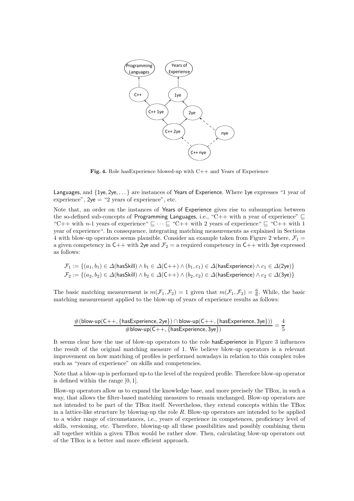

Fig. 4. Role hasExperience blowed-up with C++ and Years of Experience

Languages, and  $\{1ye, 2ye, ...\}$  are instances of Years of Experience. Where 1ye expresses "1 year of experience",  $2ye = 2 years$  of experience", etc.

Note that, an order on the instances of Years of Experience gives rise to subsumption between the so-defined sub-concepts of Programming Languages, i.e., "C++ with n year of experience" ⊑ "C++ with n-1 years of experience"  $\sqsubseteq \cdots \sqsubseteq$  "C++ with 2 years of experience"  $\sqsubseteq$  "C++ with 1 year of experience". In consequence, integrating matching measurements as explained in Sections 4 with blow-up operators seems plausible. Consider an example taken from Figure 2 where,  $\mathcal{F}_1$  = a given competency in  $C_{++}$  with 2ye and  $\mathcal{F}_2$  = a required competency in  $C_{++}$  with 3ye expressed as follows:

$$
\mathcal{F}_1 := \{(a_1, b_1) \in \Delta(\text{hasSkill}) \land b_1 \in \Delta(C++) \land (b_1, c_1) \in \Delta(\text{hasExperience}) \land c_1 \in \Delta(2ye)\}
$$
\n
$$
\mathcal{F}_2 := \{(a_2, b_2) \in \Delta(\text{hasSkill}) \land b_2 \in \Delta(C++) \land (b_2, c_2) \in \Delta(\text{hasExperience}) \land c_2 \in \Delta(3ye)\}
$$

The basic matching measurement is  $m(\mathcal{F}_1, \mathcal{F}_2) = 1$  given that  $m(\mathcal{F}_1, \mathcal{F}_2) = \frac{6}{6}$ . While, the basic matching measurement applied to the blow-up of years of experience results as follows:

$$
\frac{\#(\text{blow-up}(C++, \{\text{hasExperience}, 2ye\}) \cap \text{blow-up}(C++, \{\text{hasExperience}, 3ye\}))}{\# \text{blow-up}(C++, \{\text{hasExperience}, 3ye\})} = \frac{4}{5}
$$

It seems clear how the use of blow-up operators to the role hasExperience in Figure 3 influences the result of the original matching measure of 1. We believe blow-up operators is a relevant improvement on how matching of profiles is performed nowadays in relation to this complex roles such as "years of experience" on skills and competencies.

Note that a blow-up is performed up-to the level of the required profile. Therefore blow-up operator is defined within the range [0, 1].

Blow-up operators allow us to expand the knowledge base, and more precisely the TBox, in such a way, that allows the filter-based matching measures to remain unchanged. Blow-up operators are not intended to be part of the TBox itself. Nevertheless, they extend concepts within the TBox in a lattice-like structure by blowing-up the role R. Blow-up operators are intended to be applied to a wider range of circumstances, i.e., years of experience in competences, proficiency level of skills, versioning, etc. Therefore, blowing-up all these possibilities and possibly combining them all together within a given TBox would be rather slow. Then, calculating blow-up operators out of the TBox is a better and more efficient approach.